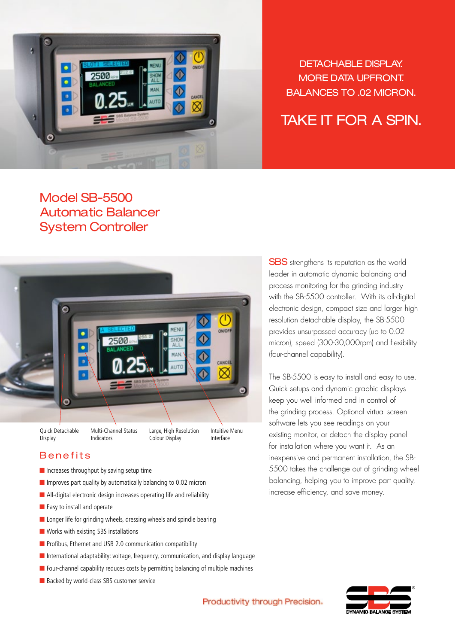

DETACHABLE DISPLAY. More DATA UPFRONT. BALANCES to .02 micron.

# Take it for a spin.

## Model SB-5500 Automatic Balancer System Controller



### Benefits

- Increases throughput by saving setup time
- Improves part quality by automatically balancing to 0.02 micron
- All-digital electronic design increases operating life and reliability
- Easy to install and operate
- Longer life for grinding wheels, dressing wheels and spindle bearing
- Works with existing SBS installations
- Profibus, Ethernet and USB 2.0 communication compatibility
- International adaptability: voltage, frequency, communication, and display language
- Four-channel capability reduces costs by permitting balancing of multiple machines
- Backed by world-class SBS customer service

**SBS** strengthens its reputation as the world leader in automatic dynamic balancing and process monitoring for the grinding industry with the SB-5500 controller. With its all-digital electronic design, compact size and larger high resolution detachable display, the SB-5500 provides unsurpassed accuracy (up to 0.02 micron), speed (300-30,000rpm) and flexibility (four-channel capability).

The SB-5500 is easy to install and easy to use. Quick setups and dynamic graphic displays keep you well informed and in control of the grinding process. Optional virtual screen software lets you see readings on your existing monitor, or detach the display panel for installation where you want it. As an inexpensive and permanent installation, the SB-5500 takes the challenge out of grinding wheel balancing, helping you to improve part quality, increase efficiency, and save money.



Productivity through Precision.